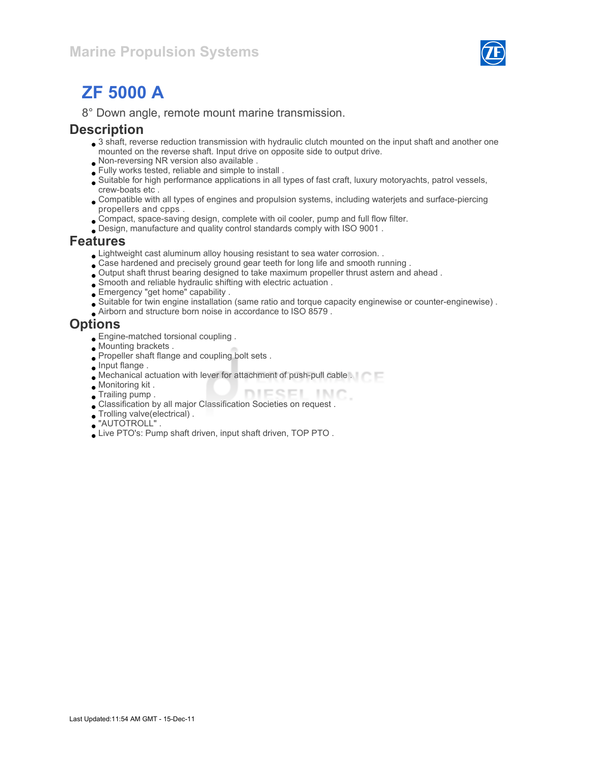

# ZF 5000 A

8° Down angle, remote mount marine transmission.

#### **Description**

- 3 shaft, reverse reduction transmission with hydraulic clutch mounted on the input shaft and another one mounted on the reverse shaft. Input drive on opposite side to output drive.
- Non-reversing NR version also available .
- Fully works tested, reliable and simple to install .
- Suitable for high performance applications in all types of fast craft, luxury motoryachts, patrol vessels, crew-boats etc .
- Compatible with all types of engines and propulsion systems, including waterjets and surface-piercing propellers and cpps .
- Compact, space-saving design, complete with oil cooler, pump and full flow filter.
- Design, manufacture and quality control standards comply with ISO 9001 .

#### Features

- Lightweight cast aluminum alloy housing resistant to sea water corrosion. .
- Case hardened and precisely ground gear teeth for long life and smooth running .
- Output shaft thrust bearing designed to take maximum propeller thrust astern and ahead .
- Smooth and reliable hydraulic shifting with electric actuation .
- Emergency "get home" capability .
- Suitable for twin engine installation (same ratio and torque capacity enginewise or counter-enginewise) .
- Airborn and structure born noise in accordance to ISO 8579 .

#### **Options**

- Engine-matched torsional coupling .
- Mounting brackets .
- Propeller shaft flange and coupling bolt sets .
- **Input flange.**
- Mechanical actuation with lever for attachment of push-pull cable .
- Monitoring kit .
- DIESEL INC. Trailing pump .
- Classification by all major Classification Societies on request .
- Trolling valve(electrical) .
- "AUTOTROLL" .
- Live PTO's: Pump shaft driven, input shaft driven, TOP PTO .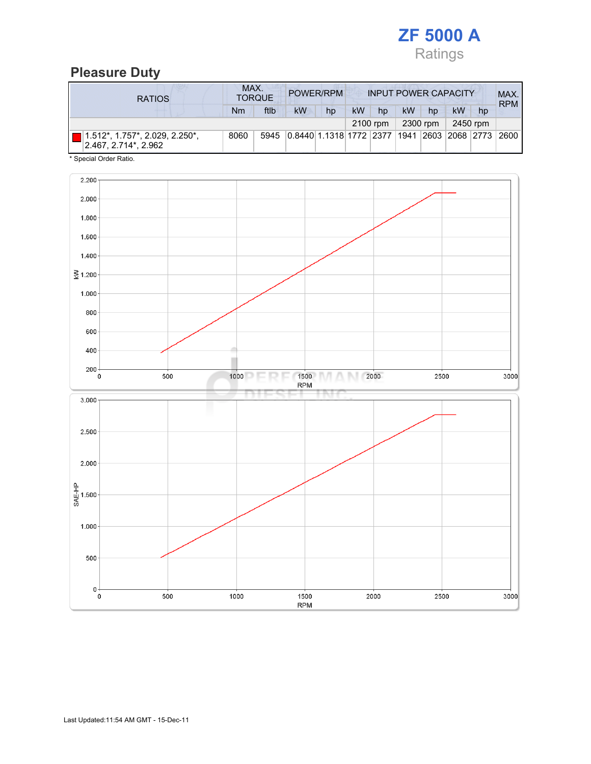

# Pleasure Duty

| <b>RATIOS</b>                                           | MAX.<br>POWER/RPM<br><b>TORQUE</b> |      |                                                        |    |    | <b>INPUT POWER CAPACITY</b> |    |          |    |          |            |
|---------------------------------------------------------|------------------------------------|------|--------------------------------------------------------|----|----|-----------------------------|----|----------|----|----------|------------|
|                                                         | Nm                                 | ftlb | <b>kW</b>                                              | hp | kW | hp                          | kW | hp       | kW | hp       | <b>RPM</b> |
|                                                         |                                    |      |                                                        |    |    | 2100 rpm                    |    | 2300 rpm |    | 2450 rpm |            |
| $1.512$ *, 1.757*, 2.029, 2.250*,<br>2.467.2.714*.2.962 | 8060                               | 5945 | 0.8440 1.1318 1772  2377  1941  2603  2068  2773  2600 |    |    |                             |    |          |    |          |            |

\* Special Order Ratio.

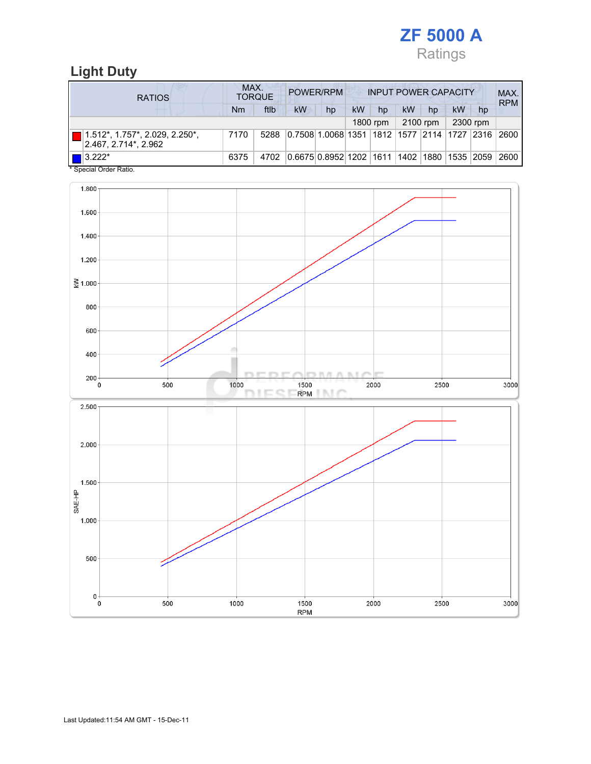

## Light Duty

| <b>RATIOS</b>                                        | MAX.<br>POWER/RPM<br><b>INPUT POWER CAPACITY</b><br><b>TORQUE</b> |      |                                                  |    |    |          |    |          | MAX.<br><b>RPM</b> |          |      |
|------------------------------------------------------|-------------------------------------------------------------------|------|--------------------------------------------------|----|----|----------|----|----------|--------------------|----------|------|
|                                                      | Nm                                                                | ftlb | <b>kW</b>                                        | hp | kW | hp       | kW | hp       | kW                 | hp       |      |
|                                                      |                                                                   |      |                                                  |    |    | 1800 rpm |    | 2100 rpm |                    | 2300 rpm |      |
| 1.512*, 1.757*, 2.029, 2.250*,<br>2.467.2.714*.2.962 | 7170                                                              | 5288 | 0.7508 1.0068 1351 1812 1577 2114 1727 2316      |    |    |          |    |          |                    |          | 2600 |
| $\blacksquare$ 3.222*<br>$*$ On a stall Onder Defter | 6375                                                              | 4702 | 0.6675 0.8952 1202  1611  1402  1880  1535  2059 |    |    |          |    |          |                    |          | 2600 |

Special Order Ratio.

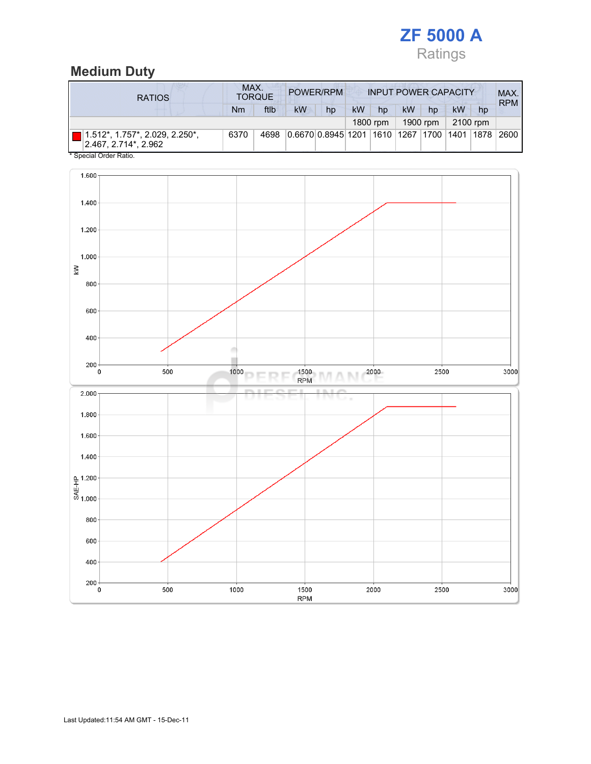

#### Medium Duty

| <b>RATIOS</b>                                             | MAX.<br>POWER/RPM<br><b>INPUT POWER CAPACITY</b><br><b>TORQUE</b> |      |    |                                                         |    |          |           |          | MAX.<br><b>RPM</b> |          |  |
|-----------------------------------------------------------|-------------------------------------------------------------------|------|----|---------------------------------------------------------|----|----------|-----------|----------|--------------------|----------|--|
|                                                           | Nm                                                                | ftlb | kW | hp                                                      | kW | hp       | <b>kW</b> | hp       | kW                 | hp       |  |
|                                                           |                                                                   |      |    |                                                         |    | 1800 rpm |           | 1900 rpm |                    | 2100 rpm |  |
| $1.512$ *, 1.757*, 2.029, 2.250*,<br>2.467, 2.714*, 2.962 | 6370                                                              | 4698 |    | 0.6670 0.8945 1201  1610  1267  1700  1401  1878   2600 |    |          |           |          |                    |          |  |
| * Special Order Ratio.                                    |                                                                   |      |    |                                                         |    |          |           |          |                    |          |  |

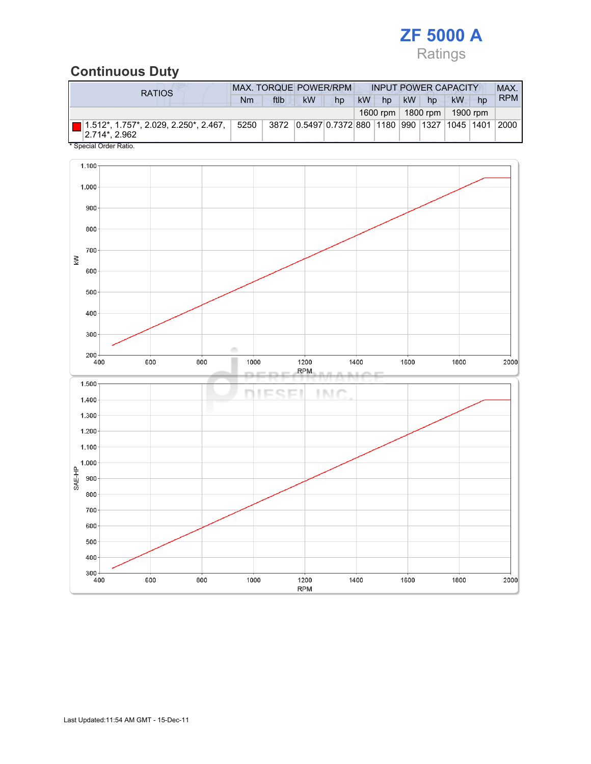# ZF 5000 A Ratings

#### Continuous Duty

| <b>RATIOS</b>                                                  | <b>MAX. TORQUE POWER/RPM</b> |      |    |                                                     |           | <b>INPUT POWER CAPACITY</b> |           |                     |          |    | MAX.       |
|----------------------------------------------------------------|------------------------------|------|----|-----------------------------------------------------|-----------|-----------------------------|-----------|---------------------|----------|----|------------|
|                                                                | Nm                           | ftlb | kW | hp                                                  | <b>kW</b> | hp                          | <b>kW</b> | hp                  | kW       | hp | <b>RPM</b> |
|                                                                |                              |      |    |                                                     |           |                             |           | 1600 rpm   1800 rpm | 1900 rpm |    |            |
| ■ 1.512*, 1.757*, 2.029, 2.250*, 2.467, ⊹<br>$ 2.714^* 2.962 $ | 5250                         |      |    | 3872 0.5497 0.7372 880 1180 990 1327 1045 1401 2000 |           |                             |           |                     |          |    |            |
| * Special Order Ratio.                                         |                              |      |    |                                                     |           |                             |           |                     |          |    |            |

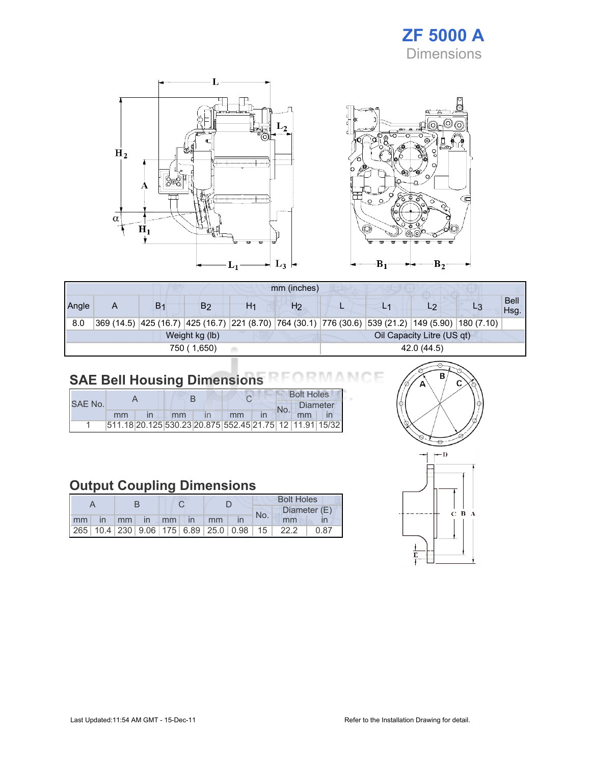## ZF 5000 A Dimensions



|                            | mm (inches)                                  |                |    |    |                |  |                                                                                                    |    |  |                     |  |
|----------------------------|----------------------------------------------|----------------|----|----|----------------|--|----------------------------------------------------------------------------------------------------|----|--|---------------------|--|
| Angle                      | Α                                            | B <sub>1</sub> | B2 | H1 | H <sub>2</sub> |  |                                                                                                    | L2 |  | <b>Bell</b><br>Hsg. |  |
| 8.0                        |                                              |                |    |    |                |  | 369 (14.5) 425 (16.7) 425 (16.7) 221 (8.70) 764 (30.1) 776 (30.6) 539 (21.2) 149 (5.90) 180 (7.10) |    |  |                     |  |
|                            | Oil Capacity Litre (US qt)<br>Weight kg (lb) |                |    |    |                |  |                                                                                                    |    |  |                     |  |
| 42.0 (44.5)<br>750 (1,650) |                                              |                |    |    |                |  |                                                                                                    |    |  |                     |  |

#### SAE Bell Housing Dimensions **RMAN** ١F

|         |    |    |  |                                                         | <b>Bolt Holes</b> |    |  |  |
|---------|----|----|--|---------------------------------------------------------|-------------------|----|--|--|
| SAE No. |    |    |  |                                                         | Diameter          |    |  |  |
|         | mm | mm |  | mm                                                      |                   | mm |  |  |
|         |    |    |  | 511.18 20.125 530.23 20.875 552.45 21.75 12 11.91 15/32 |                   |    |  |  |

## Output Coupling Dimensions

|  |  |  |                       |  |  | <b>Bolt Holes</b> |                                                                |      |  |  |
|--|--|--|-----------------------|--|--|-------------------|----------------------------------------------------------------|------|--|--|
|  |  |  |                       |  |  | No.               | Diameter (E)                                                   |      |  |  |
|  |  |  | Imm in mm in mm in mm |  |  |                   | mm                                                             |      |  |  |
|  |  |  |                       |  |  |                   | 265   10.4   230   9.06   175   6.89   25.0   0.98   15   22.2 | 0.87 |  |  |